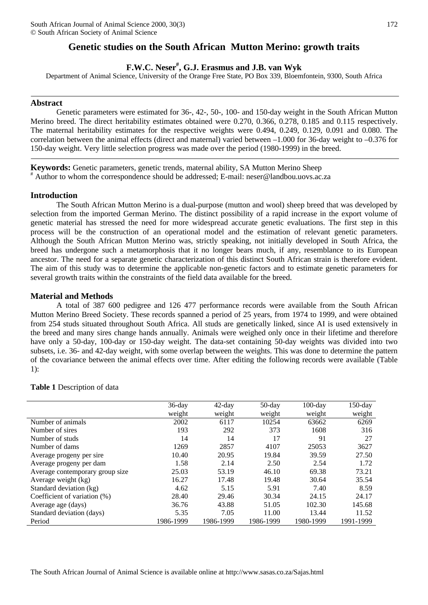## **Genetic studies on the South African Mutton Merino: growth traits**

# **F.W.C. Neser# , G.J. Erasmus and J.B. van Wyk**

Department of Animal Science, University of the Orange Free State, PO Box 339, Bloemfontein, 9300, South Africa

## **Abstract**

Genetic parameters were estimated for 36-, 42-, 50-, 100- and 150-day weight in the South African Mutton Merino breed. The direct heritability estimates obtained were 0.270, 0.366, 0.278, 0.185 and 0.115 respectively. The maternal heritability estimates for the respective weights were 0.494, 0.249, 0.129, 0.091 and 0.080. The correlation between the animal effects (direct and maternal) varied between –1.000 for 36-day weight to –0.376 for 150-day weight. Very little selection progress was made over the period (1980-1999) in the breed.

**Keywords:** Genetic parameters, genetic trends, maternal ability, SA Mutton Merino Sheep # Author to whom the correspondence should be addressed; E-mail: neser@landbou.uovs.ac.za

## **Introduction**

The South African Mutton Merino is a dual-purpose (mutton and wool) sheep breed that was developed by selection from the imported German Merino. The distinct possibility of a rapid increase in the export volume of genetic material has stressed the need for more widespread accurate genetic evaluations. The first step in this process will be the construction of an operational model and the estimation of relevant genetic parameters. Although the South African Mutton Merino was, strictly speaking, not initially developed in South Africa, the breed has undergone such a metamorphosis that it no longer bears much, if any, resemblance to its European ancestor. The need for a separate genetic characterization of this distinct South African strain is therefore evident. The aim of this study was to determine the applicable non-genetic factors and to estimate genetic parameters for several growth traits within the constraints of the field data available for the breed.

## **Material and Methods**

A total of 387 600 pedigree and 126 477 performance records were available from the South African Mutton Merino Breed Society. These records spanned a period of 25 years, from 1974 to 1999, and were obtained from 254 studs situated throughout South Africa. All studs are genetically linked, since AI is used extensively in the breed and many sires change hands annually. Animals were weighed only once in their lifetime and therefore have only a 50-day, 100-day or 150-day weight. The data-set containing 50-day weights was divided into two subsets, i.e. 36- and 42-day weight, with some overlap between the weights. This was done to determine the pattern of the covariance between the animal effects over time. After editing the following records were available (Table 1):

|                                 | $36$ -day | $42$ -day | $50$ -day | $100$ -day | $150$ -day |
|---------------------------------|-----------|-----------|-----------|------------|------------|
|                                 | weight    | weight    | weight    | weight     | weight     |
| Number of animals               | 2002      | 6117      | 10254     | 63662      | 6269       |
| Number of sires                 | 193       | 292       | 373       | 1608       | 316        |
| Number of studs                 | 14        | 14        | 17        | 91         | 27         |
| Number of dams                  | 1269      | 2857      | 4107      | 25053      | 3627       |
| Average progeny per sire        | 10.40     | 20.95     | 19.84     | 39.59      | 27.50      |
| Average progeny per dam         | 1.58      | 2.14      | 2.50      | 2.54       | 1.72       |
| Average contemporary group size | 25.03     | 53.19     | 46.10     | 69.38      | 73.21      |
| Average weight (kg)             | 16.27     | 17.48     | 19.48     | 30.64      | 35.54      |
| Standard deviation (kg)         | 4.62      | 5.15      | 5.91      | 7.40       | 8.59       |
| Coefficient of variation (%)    | 28.40     | 29.46     | 30.34     | 24.15      | 24.17      |
| Average age (days)              | 36.76     | 43.88     | 51.05     | 102.30     | 145.68     |
| Standard deviation (days)       | 5.35      | 7.05      | 11.00     | 13.44      | 11.52      |
| Period                          | 1986-1999 | 1986-1999 | 1986-1999 | 1980-1999  | 1991-1999  |

## **Table 1** Description of data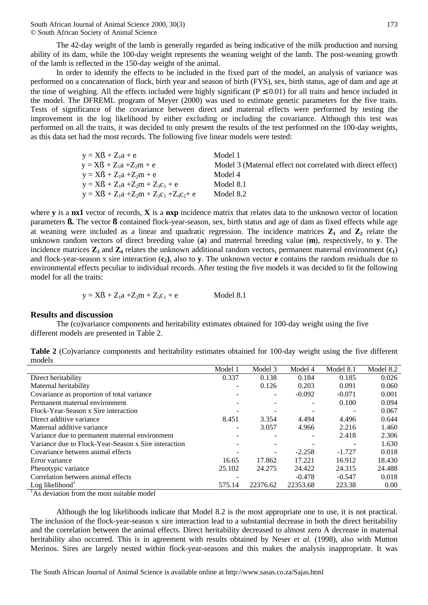The 42-day weight of the lamb is generally regarded as being indicative of the milk production and nursing ability of its dam, while the 100-day weight represents the weaning weight of the lamb. The post-weaning growth of the lamb is reflected in the 150-day weight of the animal.

In order to identify the effects to be included in the fixed part of the model, an analysis of variance was performed on a concatenation of flock, birth year and season of birth (FYS), sex, birth status, age of dam and age at the time of weighing. All the effects included were highly significant ( $P \le 0.01$ ) for all traits and hence included in the model. The DFREML program of Meyer (2000) was used to estimate genetic parameters for the five traits. Tests of significance of the covariance between direct and maternal effects were performed by testing the improvement in the log likelihood by either excluding or including the covariance. Although this test was performed on all the traits, it was decided to only present the results of the test performed on the 100-day weights, as this data set had the most records. The following five linear models were tested:

| $y = X\mathbb{S} + Z_1a + e$                  | Model 1                                                     |
|-----------------------------------------------|-------------------------------------------------------------|
| $y = X\mathbb{S} + Z_1a + Z_2m + e$           | Model 3 (Maternal effect not correlated with direct effect) |
| $y = X\mathbb{S} + Z_1a + Z_2m + e$           | Model 4                                                     |
| $y = XfS + Z_1a + Z_2m + Z_3c_1 + e$          | Model 8.1                                                   |
| $y = XfS + Z_1a + Z_2m + Z_3c_1 + Z_4c_2 + e$ | Model 8.2                                                   |

where **y** is a **nx1** vector of records, **X** is a **nxp** incidence matrix that relates data to the unknown vector of location parameters **ß.** The vector **ß** contained flock-year-season, sex, birth status and age of dam as fixed effects while age at weaning were included as a linear and quadratic regression. The incidence matrices  $\mathbb{Z}_1$  and  $\mathbb{Z}_2$  relate the unknown random vectors of direct breeding value (**a**) and maternal breeding value (**m**), respectively, to **y**. The incidence matrices  $\mathbf{Z}_3$  and  $\mathbf{Z}_4$  relates the unknown additional random vectors, permanent maternal environment  $(c_1)$ and flock-year-season x sire interaction (**c2)**, also to **y**. The unknown vector **e** contains the random residuals due to environmental effects peculiar to individual records. After testing the five models it was decided to fit the following model for all the traits:

$$
y = XfS + Z_1a + Z_2m + Z_3c_1 + e
$$
 Model 8.1

## **Results and discussion**

The (co)variance components and heritability estimates obtained for 100-day weight using the five different models are presented in Table 2.

| Table 2 (Co)variance components and heritability estimates obtained for 100-day weight using the five different |  |  |  |  |  |
|-----------------------------------------------------------------------------------------------------------------|--|--|--|--|--|
| models                                                                                                          |  |  |  |  |  |

| Model 1 | Model 3  | Model 4  | Model 8.1 | Model 8.2 |
|---------|----------|----------|-----------|-----------|
| 0.337   | 0.138    | 0.184    | 0.185     | 0.026     |
|         | 0.126    | 0.203    | 0.091     | 0.060     |
|         | Ξ.       | $-0.092$ | $-0.071$  | 0.001     |
|         |          |          | 0.100     | 0.094     |
|         |          |          |           | 0.067     |
| 8.451   | 3.354    | 4.494    | 4.496     | 0.644     |
|         | 3.057    | 4.966    | 2.216     | 1.460     |
|         |          |          | 2.418     | 2.306     |
|         |          |          |           | 1.630     |
|         |          | $-2.258$ | $-1.727$  | 0.018     |
| 16.65   | 17.862   | 17.221   | 16.912    | 18.430    |
| 25.102  | 24.275   | 24.422   | 24.315    | 24.488    |
|         |          | $-0.478$ | $-0.547$  | 0.018     |
| 575.14  | 22376.62 | 22353.68 | 223.38    | 0.00      |
|         |          |          |           |           |

 $\frac{1}{1}$ As deviation from the most suitable model

Although the log likelihoods indicate that Model 8.2 is the most appropriate one to use, it is not practical. The inclusion of the flock-year-season x sire interaction lead to a substantial decrease in both the direct heritability and the correlation between the animal effects. Direct heritability decreased to almost zero A decrease in maternal heritability also occurred. This is in agreement with results obtained by Neser *et al.* (1998), also with Mutton Merinos. Sires are largely nested within flock-year-seasons and this makes the analysis inappropriate. It was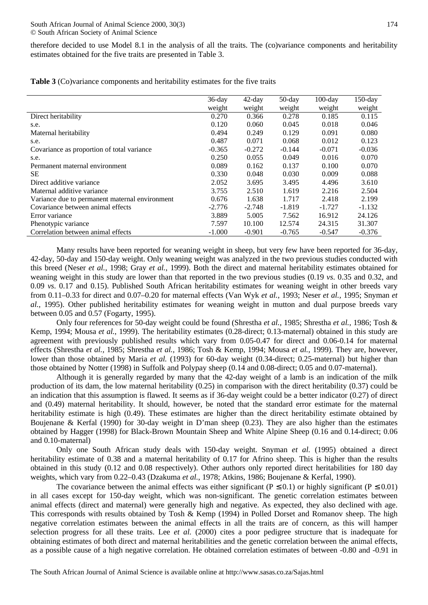therefore decided to use Model 8.1 in the analysis of all the traits. The (co)variance components and heritability estimates obtained for the five traits are presented in Table 3.

| Table 3 (Co)variance components and heritability estimates for the five traits |  |  |  |
|--------------------------------------------------------------------------------|--|--|--|
|--------------------------------------------------------------------------------|--|--|--|

|                                                | $36$ -day | $42$ -day | $50$ -day | $100$ -day | $150$ -day |
|------------------------------------------------|-----------|-----------|-----------|------------|------------|
|                                                | weight    | weight    | weight    | weight     | weight     |
| Direct heritability                            | 0.270     | 0.366     | 0.278     | 0.185      | 0.115      |
| s.e.                                           | 0.120     | 0.060     | 0.045     | 0.018      | 0.046      |
| Maternal heritability                          | 0.494     | 0.249     | 0.129     | 0.091      | 0.080      |
| s.e.                                           | 0.487     | 0.071     | 0.068     | 0.012      | 0.123      |
| Covariance as proportion of total variance     | $-0.365$  | $-0.272$  | $-0.144$  | $-0.071$   | $-0.036$   |
| s.e.                                           | 0.250     | 0.055     | 0.049     | 0.016      | 0.070      |
| Permanent maternal environment                 | 0.089     | 0.162     | 0.137     | 0.100      | 0.070      |
| <b>SE</b>                                      | 0.330     | 0.048     | 0.030     | 0.009      | 0.088      |
| Direct additive variance                       | 2.052     | 3.695     | 3.495     | 4.496      | 3.610      |
| Maternal additive variance                     | 3.755     | 2.510     | 1.619     | 2.216      | 2.504      |
| Variance due to permanent maternal environment | 0.676     | 1.638     | 1.717     | 2.418      | 2.199      |
| Covariance between animal effects              | $-2.776$  | $-2.748$  | $-1.819$  | $-1.727$   | $-1.132$   |
| Error variance                                 | 3.889     | 5.005     | 7.562     | 16.912     | 24.126     |
| Phenotypic variance                            | 7.597     | 10.100    | 12.574    | 24.315     | 31.307     |
| Correlation between animal effects             | $-1.000$  | $-0.901$  | $-0.765$  | $-0.547$   | $-0.376$   |

Many results have been reported for weaning weight in sheep, but very few have been reported for 36-day, 42-day, 50-day and 150-day weight. Only weaning weight was analyzed in the two previous studies conducted with this breed (Neser *et al.,* 1998; Gray *et al.*, 1999). Both the direct and maternal heritability estimates obtained for weaning weight in this study are lower than that reported in the two previous studies (0.19 *vs*. 0.35 and 0.32, and 0.09 *vs*. 0.17 and 0.15). Published South African heritability estimates for weaning weight in other breeds vary from 0.11–0.33 for direct and 0.07–0.20 for maternal effects (Van Wyk *et al.*, 1993; Neser *et al.,* 1995; Snyman *et al.,* 1995). Other published heritability estimates for weaning weight in mutton and dual purpose breeds vary between  $0.05$  and  $0.57$  (Fogarty, 1995).

Only four references for 50-day weight could be found (Shrestha *et al.,* 1985; Shrestha *et al.,* 1986; Tosh & Kemp, 1994; Mousa *et al.*, 1999). The heritability estimates (0.28-direct; 0.13-maternal) obtained in this study are agreement with previously published results which vary from 0.05-0.47 for direct and 0.06-0.14 for maternal effects (Shrestha *et al.,* 1985; Shrestha *et al.,* 1986; Tosh & Kemp, 1994; Mousa *et al.*, 1999). They are, however, lower than those obtained by Maria *et al.* (1993) for 60-day weight (0.34-direct; 0.25-maternal) but higher than those obtained by Notter (1998) in Suffolk and Polypay sheep (0.14 and 0.08-direct; 0.05 and 0.07-maternal).

Although it is generally regarded by many that the 42-day weight of a lamb is an indication of the milk production of its dam, the low maternal heritability (0.25) in comparison with the direct heritability (0.37) could be an indication that this assumption is flawed. It seems as if 36-day weight could be a better indicator (0.27) of direct and (0.49) maternal heritability. It should, however, be noted that the standard error estimate for the maternal heritability estimate is high (0.49). These estimates are higher than the direct heritability estimate obtained by Boujenane & Kerfal (1990) for 30-day weight in D'man sheep (0.23). They are also higher than the estimates obtained by Hagger (1998) for Black-Brown Mountain Sheep and White Alpine Sheep (0.16 and 0.14-direct; 0.06 and 0.10-maternal)

Only one South African study deals with 150-day weight. Snyman *et al.* (1995) obtained a direct heritability estimate of 0.38 and a maternal heritability of 0.17 for Afrino sheep. This is higher than the results obtained in this study (0.12 and 0.08 respectively). Other authors only reported direct heritabilities for 180 day weights, which vary from 0.22–0.43 (Dzakuma *et al.*, 1978; Atkins, 1986; Boujenane & Kerfal, 1990).

The covariance between the animal effects was either significant ( $P \le 0.1$ ) or highly significant ( $P \le 0.01$ ) in all cases except for 150-day weight, which was non-significant. The genetic correlation estimates between animal effects (direct and maternal) were generally high and negative. As expected, they also declined with age. This corresponds with results obtained by Tosh & Kemp (1994) in Polled Dorset and Romanov sheep. The high negative correlation estimates between the animal effects in all the traits are of concern, as this will hamper selection progress for all these traits. Lee *et al.* (2000) cites a poor pedigree structure that is inadequate for obtaining estimates of both direct and maternal heritabilities and the genetic correlation between the animal effects, as a possible cause of a high negative correlation. He obtained correlation estimates of between -0.80 and -0.91 in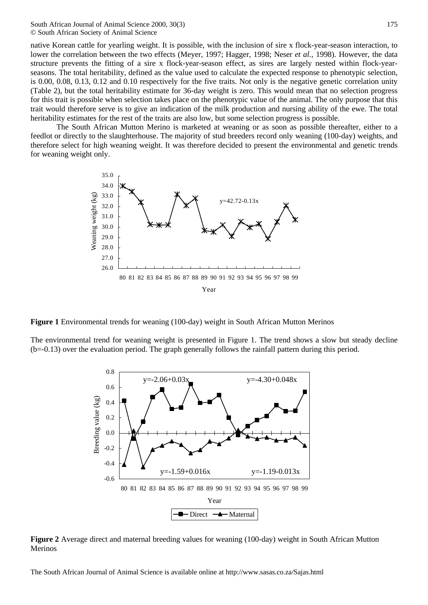South African Journal of Animal Science 2000, 30(3) © South African Society of Animal Science

native Korean cattle for yearling weight. It is possible, with the inclusion of sire x flock-year-season interaction, to lower the correlation between the two effects (Meyer, 1997; Hagger, 1998; Neser *et al.,* 1998). However, the data structure prevents the fitting of a sire x flock-year-season effect, as sires are largely nested within flock-yearseasons. The total heritability, defined as the value used to calculate the expected response to phenotypic selection, is 0.00, 0.08, 0.13, 0.12 and 0.10 respectively for the five traits. Not only is the negative genetic correlation unity (Table 2), but the total heritability estimate for 36-day weight is zero. This would mean that no selection progress for this trait is possible when selection takes place on the phenotypic value of the animal. The only purpose that this trait would therefore serve is to give an indication of the milk production and nursing ability of the ewe. The total heritability estimates for the rest of the traits are also low, but some selection progress is possible.

The South African Mutton Merino is marketed at weaning or as soon as possible thereafter, either to a feedlot or directly to the slaughterhouse. The majority of stud breeders record only weaning (100-day) weights, and therefore select for high weaning weight. It was therefore decided to present the environmental and genetic trends for weaning weight only.



**Figure 1** Environmental trends for weaning (100-day) weight in South African Mutton Merinos

The environmental trend for weaning weight is presented in Figure 1. The trend shows a slow but steady decline (b=-0.13) over the evaluation period. The graph generally follows the rainfall pattern during this period.



**Figure 2** Average direct and maternal breeding values for weaning (100-day) weight in South African Mutton Merinos

The South African Journal of Animal Science is available online at http://www.sasas.co.za/Sajas.html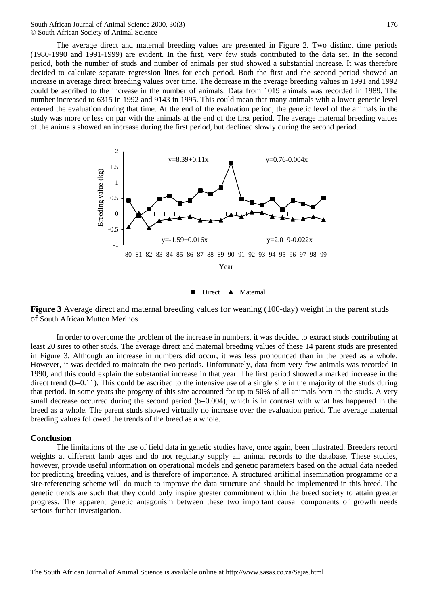South African Journal of Animal Science 2000, 30(3) © South African Society of Animal Science

The average direct and maternal breeding values are presented in Figure 2. Two distinct time periods (1980-1990 and 1991-1999) are evident. In the first, very few studs contributed to the data set. In the second period, both the number of studs and number of animals per stud showed a substantial increase. It was therefore decided to calculate separate regression lines for each period. Both the first and the second period showed an increase in average direct breeding values over time. The decrease in the average breeding values in 1991 and 1992 could be ascribed to the increase in the number of animals. Data from 1019 animals was recorded in 1989. The number increased to 6315 in 1992 and 9143 in 1995. This could mean that many animals with a lower genetic level entered the evaluation during that time. At the end of the evaluation period, the genetic level of the animals in the study was more or less on par with the animals at the end of the first period. The average maternal breeding values of the animals showed an increase during the first period, but declined slowly during the second period.



**Figure 3** Average direct and maternal breeding values for weaning (100-day) weight in the parent studs of South African Mutton Merinos

In order to overcome the problem of the increase in numbers, it was decided to extract studs contributing at least 20 sires to other studs. The average direct and maternal breeding values of these 14 parent studs are presented in Figure 3. Although an increase in numbers did occur, it was less pronounced than in the breed as a whole. However, it was decided to maintain the two periods. Unfortunately, data from very few animals was recorded in 1990, and this could explain the substantial increase in that year. The first period showed a marked increase in the direct trend (b=0.11). This could be ascribed to the intensive use of a single sire in the majority of the studs during that period. In some years the progeny of this sire accounted for up to 50% of all animals born in the studs. A very small decrease occurred during the second period  $(b=0.004)$ , which is in contrast with what has happened in the breed as a whole. The parent studs showed virtually no increase over the evaluation period. The average maternal breeding values followed the trends of the breed as a whole.

#### **Conclusion**

The limitations of the use of field data in genetic studies have, once again, been illustrated. Breeders record weights at different lamb ages and do not regularly supply all animal records to the database. These studies, however, provide useful information on operational models and genetic parameters based on the actual data needed for predicting breeding values, and is therefore of importance. A structured artificial insemination programme or a sire-referencing scheme will do much to improve the data structure and should be implemented in this breed. The genetic trends are such that they could only inspire greater commitment within the breed society to attain greater progress. The apparent genetic antagonism between these two important causal components of growth needs serious further investigation.